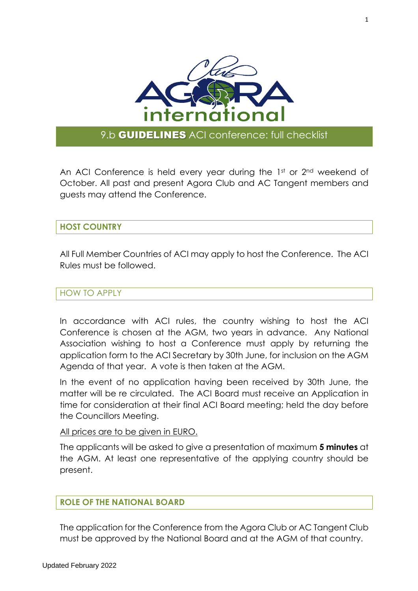

# 9.b **GUIDELINES** ACI conference: full checklist

An ACI Conference is held every year during the 1st or 2nd weekend of October. All past and present Agora Club and AC Tangent members and guests may attend the Conference.

## **HOST COUNTRY**

All Full Member Countries of ACI may apply to host the Conference. The ACI Rules must be followed.

#### HOW TO APPLY

In accordance with ACI rules, the country wishing to host the ACI Conference is chosen at the AGM, two years in advance. Any National Association wishing to host a Conference must apply by returning the application form to the ACI Secretary by 30th June, for inclusion on the AGM Agenda of that year. A vote is then taken at the AGM.

In the event of no application having been received by 30th June, the matter will be re circulated. The ACI Board must receive an Application in time for consideration at their final ACI Board meeting; held the day before the Councillors Meeting.

#### All prices are to be given in EURO.

The applicants will be asked to give a presentation of maximum **5 minutes** at the AGM. At least one representative of the applying country should be present.

## **ROLE OF THE NATIONAL BOARD**

The application for the Conference from the Agora Club or AC Tangent Club must be approved by the National Board and at the AGM of that country.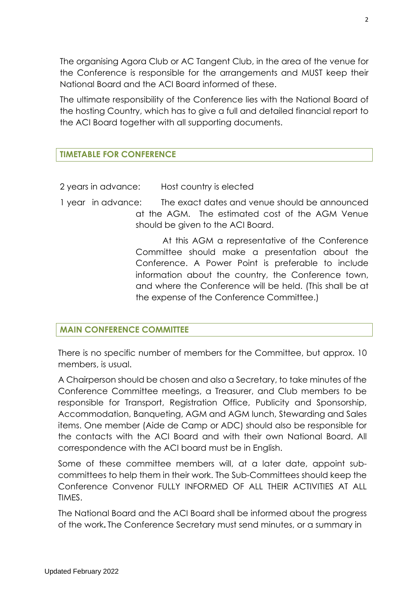The organising Agora Club or AC Tangent Club, in the area of the venue for the Conference is responsible for the arrangements and MUST keep their National Board and the ACI Board informed of these.

The ultimate responsibility of the Conference lies with the National Board of the hosting Country, which has to give a full and detailed financial report to the ACI Board together with all supporting documents.

# **TIMETABLE FOR CONFERENCE**

- 2 years in advance: Host country is elected
- 1 year in advance: The exact dates and venue should be announced at the AGM. The estimated cost of the AGM Venue should be given to the ACI Board.

 At this AGM a representative of the Conference Committee should make a presentation about the Conference. A Power Point is preferable to include information about the country, the Conference town, and where the Conference will be held. (This shall be at the expense of the Conference Committee.)

## **MAIN CONFERENCE COMMITTEE**

There is no specific number of members for the Committee, but approx. 10 members, is usual.

A Chairperson should be chosen and also a Secretary, to take minutes of the Conference Committee meetings, a Treasurer, and Club members to be responsible for Transport, Registration Office, Publicity and Sponsorship, Accommodation, Banqueting, AGM and AGM lunch, Stewarding and Sales items. One member (Aide de Camp or ADC) should also be responsible for the contacts with the ACI Board and with their own National Board. All correspondence with the ACI board must be in English.

Some of these committee members will, at a later date, appoint subcommittees to help them in their work. The Sub-Committees should keep the Conference Convenor FULLY INFORMED OF ALL THEIR ACTIVITIES AT ALL **TIMES** 

The National Board and the ACI Board shall be informed about the progress of the work**.** The Conference Secretary must send minutes, or a summary in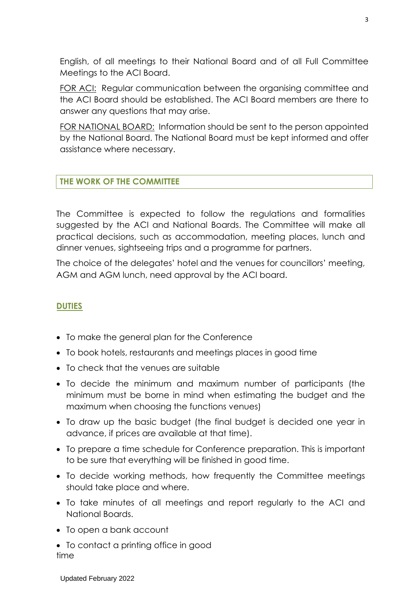English, of all meetings to their National Board and of all Full Committee Meetings to the ACI Board.

FOR ACI: Regular communication between the organising committee and the ACI Board should be established. The ACI Board members are there to answer any questions that may arise.

FOR NATIONAL BOARD: Information should be sent to the person appointed by the National Board. The National Board must be kept informed and offer assistance where necessary.

## **THE WORK OF THE COMMITTEE**

The Committee is expected to follow the regulations and formalities suggested by the ACI and National Boards. The Committee will make all practical decisions, such as accommodation, meeting places, lunch and dinner venues, sightseeing trips and a programme for partners.

The choice of the delegates' hotel and the venues for councillors' meeting, AGM and AGM lunch, need approval by the ACI board.

#### **DUTIES**

- To make the general plan for the Conference
- To book hotels, restaurants and meetings places in good time
- To check that the venues are suitable
- To decide the minimum and maximum number of participants (the minimum must be borne in mind when estimating the budget and the maximum when choosing the functions venues)
- To draw up the basic budget (the final budget is decided one year in advance, if prices are available at that time).
- To prepare a time schedule for Conference preparation. This is important to be sure that everything will be finished in good time.
- To decide working methods, how frequently the Committee meetings should take place and where.
- To take minutes of all meetings and report regularly to the ACI and National Boards.
- To open a bank account
- To contact a printing office in good time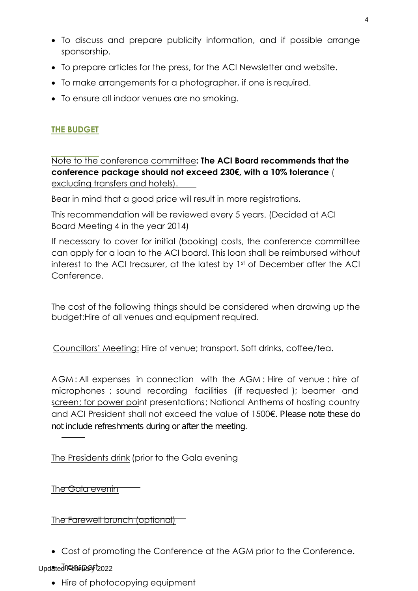- To discuss and prepare publicity information, and if possible arrange sponsorship.
- To prepare articles for the press, for the ACI Newsletter and website.
- To make arrangements for a photographer, if one is required.
- To ensure all indoor venues are no smoking.

# **THE BUDGET**

Note to the conference committee**: The ACI Board recommends that the conference package should not exceed 230€, with a 10% tolerance** ( excluding transfers and hotels).

Bear in mind that a good price will result in more registrations.

This recommendation will be reviewed every 5 years. (Decided at ACI Board Meeting 4 in the year 2014)

If necessary to cover for initial (booking) costs, the conference committee can apply for a loan to the ACI board. This loan shall be reimbursed without interest to the ACI treasurer, at the latest by 1st of December after the ACI Conference.

The cost of the following things should be considered when drawing up the budget:Hire of all venues and equipment required.

Councillors' Meeting: Hire of venue; transport. Soft drinks, coffee/tea.

AGM: All expenses in connection with the AGM: Hire of venue; hire of microphones ; sound recording facilities (if requested ); beamer and screen; for power point presentations; National Anthems of hosting country and ACI President shall not exceed the value of 1500€. Please note these do not include refreshments during or after the meeting.

he Presidents drink (prior to the Gala evening T

The Gala evenin

The Farewell brunch (optional)

• Cost of promoting the Conference at the AGM prior to the Conference.

# Updated FEBBFDapy 2022

• Hire of photocopying equipment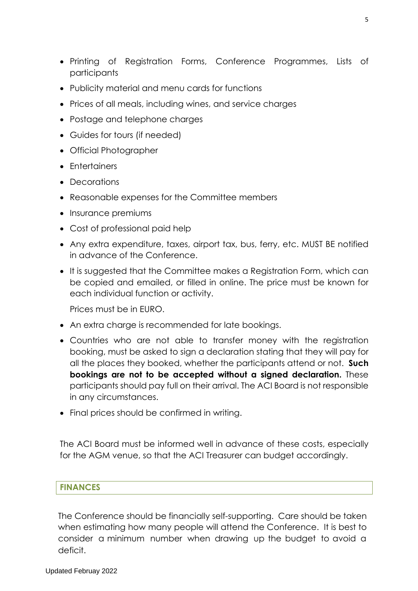- Printing of Registration Forms, Conference Programmes, Lists of participants
- Publicity material and menu cards for functions
- Prices of all meals, including wines, and service charges
- Postage and telephone charges
- Guides for tours (if needed)
- Official Photographer
- Entertainers
- Decorations
- Reasonable expenses for the Committee members
- Insurance premiums
- Cost of professional paid help
- Any extra expenditure, taxes, airport tax, bus, ferry, etc. MUST BE notified in advance of the Conference.
- It is suggested that the Committee makes a Registration Form, which can be copied and emailed, or filled in online. The price must be known for each individual function or activity.

Prices must be in EURO.

- An extra charge is recommended for late bookings.
- Countries who are not able to transfer money with the registration booking, must be asked to sign a declaration stating that they will pay for all the places they booked, whether the participants attend or not. **Such bookings are not to be accepted without a signed declaration.** These participants should pay full on their arrival. The ACI Board is not responsible in any circumstances.
- Final prices should be confirmed in writing.

The ACI Board must be informed well in advance of these costs, especially for the AGM venue, so that the ACI Treasurer can budget accordingly.

#### **FINANCES**

The Conference should be financially self-supporting. Care should be taken when estimating how many people will attend the Conference. It is best to consider a minimum number when drawing up the budget to avoid a deficit.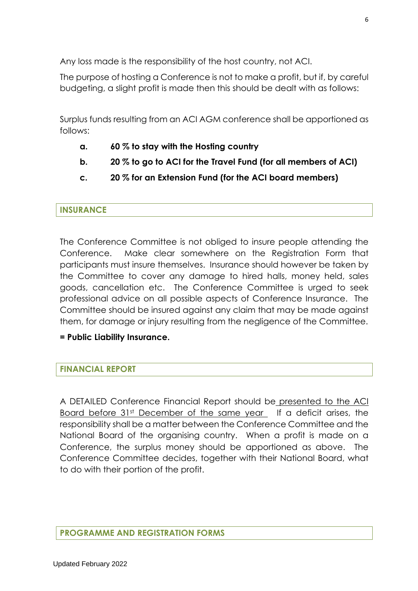Any loss made is the responsibility of the host country, not ACI.

The purpose of hosting a Conference is not to make a profit, but if, by careful budgeting, a slight profit is made then this should be dealt with as follows:

Surplus funds resulting from an ACI AGM conference shall be apportioned as follows:

- **a. 60 % to stay with the Hosting country**
- **b. 20 % to go to ACI for the Travel Fund (for all members of ACI)**
- **c. 20 % for an Extension Fund (for the ACI board members)**

## **INSURANCE**

The Conference Committee is not obliged to insure people attending the Conference. Make clear somewhere on the Registration Form that participants must insure themselves. Insurance should however be taken by the Committee to cover any damage to hired halls, money held, sales goods, cancellation etc. The Conference Committee is urged to seek professional advice on all possible aspects of Conference Insurance. The Committee should be insured against any claim that may be made against them, for damage or injury resulting from the negligence of the Committee.

**= Public Liability Insurance.**

## **FINANCIAL REPORT**

A DETAILED Conference Financial Report should be presented to the ACI Board before 31st December of the same year If a deficit arises, the responsibility shall be a matter between the Conference Committee and the National Board of the organising country. When a profit is made on a Conference, the surplus money should be apportioned as above. The Conference Committee decides, together with their National Board, what to do with their portion of the profit.

#### **PROGRAMME AND REGISTRATION FORMS**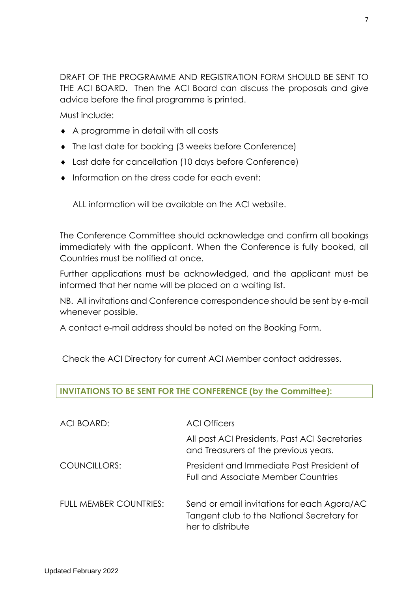DRAFT OF THE PROGRAMME AND REGISTRATION FORM SHOULD BE SENT TO THE ACI BOARD. Then the ACI Board can discuss the proposals and give advice before the final programme is printed.

Must include:

- ◆ A programme in detail with all costs
- The last date for booking (3 weeks before Conference)
- Last date for cancellation (10 days before Conference)
- $\bullet$  Information on the dress code for each event:

ALL information will be available on the ACI website.

The Conference Committee should acknowledge and confirm all bookings immediately with the applicant. When the Conference is fully booked, all Countries must be notified at once.

Further applications must be acknowledged, and the applicant must be informed that her name will be placed on a waiting list.

NB. All invitations and Conference correspondence should be sent by e-mail whenever possible.

A contact e-mail address should be noted on the Booking Form.

Check the ACI Directory for current ACI Member contact addresses.

# **INVITATIONS TO BE SENT FOR THE CONFERENCE (by the Committee):**

| ACI BOARD:                    | <b>ACI Officers</b>                                                                                            |
|-------------------------------|----------------------------------------------------------------------------------------------------------------|
|                               | All past ACI Presidents, Past ACI Secretaries<br>and Treasurers of the previous years.                         |
| COUNCILLORS:                  | President and Immediate Past President of<br>Full and Associate Member Countries                               |
| <b>FULL MEMBER COUNTRIES:</b> | Send or email invitations for each Agora/AC<br>Tangent club to the National Secretary for<br>her to distribute |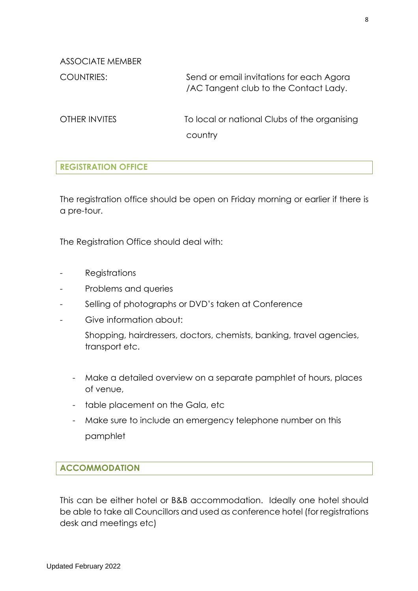ASSOCIATE MEMBER

COUNTRIES: Send or email invitations for each Agora /AC Tangent club to the Contact Lady.

OTHER INVITES To local or national Clubs of the organising country

# **REGISTRATION OFFICE**

The registration office should be open on Friday morning or earlier if there is a pre-tour.

The Registration Office should deal with:

- Registrations
- Problems and queries
- Selling of photographs or DVD's taken at Conference
- Give information about:

Shopping, hairdressers, doctors, chemists, banking, travel agencies, transport etc.

- Make a detailed overview on a separate pamphlet of hours, places of venue,
- table placement on the Gala, etc
- Make sure to include an emergency telephone number on this pamphlet

#### **ACCOMMODATION**

This can be either hotel or B&B accommodation. Ideally one hotel should be able to take all Councillors and used as conference hotel (for registrations desk and meetings etc)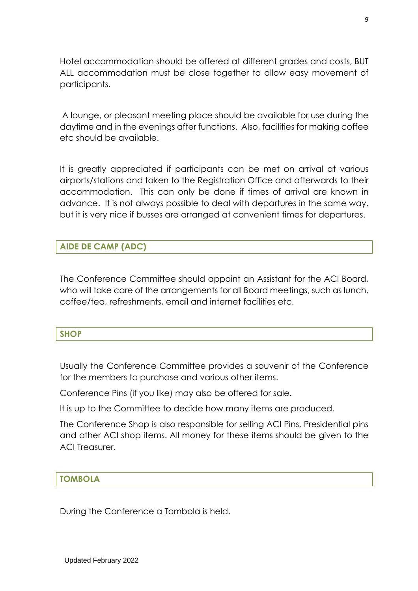Hotel accommodation should be offered at different grades and costs, BUT ALL accommodation must be close together to allow easy movement of participants.

A lounge, or pleasant meeting place should be available for use during the daytime and in the evenings after functions. Also, facilities for making coffee etc should be available.

It is greatly appreciated if participants can be met on arrival at various airports/stations and taken to the Registration Office and afterwards to their accommodation. This can only be done if times of arrival are known in advance. It is not always possible to deal with departures in the same way, but it is very nice if busses are arranged at convenient times for departures.

### **AIDE DE CAMP (ADC)**

The Conference Committee should appoint an Assistant for the ACI Board, who will take care of the arrangements for all Board meetings, such as lunch, coffee/tea, refreshments, email and internet facilities etc.

#### **SHOP**

Usually the Conference Committee provides a souvenir of the Conference for the members to purchase and various other items.

Conference Pins (if you like) may also be offered for sale.

It is up to the Committee to decide how many items are produced.

The Conference Shop is also responsible for selling ACI Pins, Presidential pins and other ACI shop items. All money for these items should be given to the ACI Treasurer.

#### **TOMBOLA**

During the Conference a Tombola is held.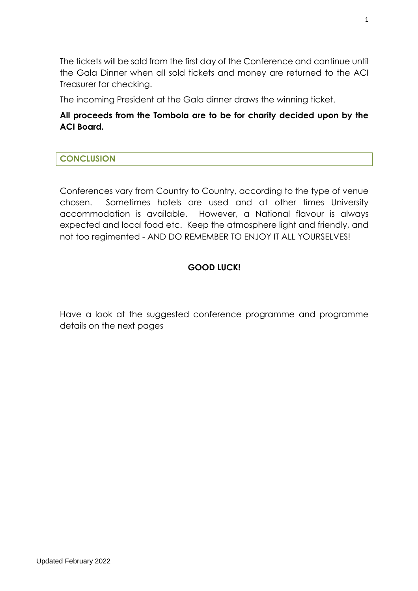The tickets will be sold from the first day of the Conference and continue until the Gala Dinner when all sold tickets and money are returned to the ACI Treasurer for checking.

The incoming President at the Gala dinner draws the winning ticket.

# **All proceeds from the Tombola are to be for charity decided upon by the ACI Board.**

# **CONCLUSION**

Conferences vary from Country to Country, according to the type of venue chosen. Sometimes hotels are used and at other times University accommodation is available. However, a National flavour is always expected and local food etc. Keep the atmosphere light and friendly, and not too regimented - AND DO REMEMBER TO ENJOY IT ALL YOURSELVES!

# **GOOD LUCK!**

Have a look at the suggested conference programme and programme details on the next pages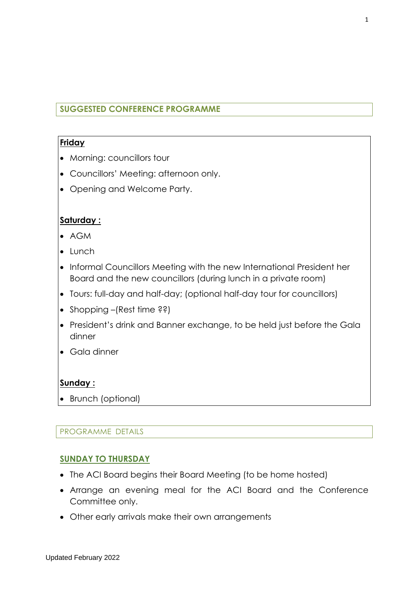# **SUGGESTED CONFERENCE PROGRAMME**

# **Friday**

- Morning: councillors tour
- Councillors' Meeting: afternoon only.
- Opening and Welcome Party.

# **Saturday :**

- AGM
- Lunch
- Informal Councillors Meeting with the new International President her Board and the new councillors (during lunch in a private room)
- Tours: full-day and half-day; (optional half-day tour for councillors)
- Shopping –(Rest time ??)
- President's drink and Banner exchange, to be held just before the Gala dinner
- Gala dinner

# **Sunday :**

• Brunch (optional)

## PROGRAMME DETAILS

## **SUNDAY TO THURSDAY**

- The ACI Board begins their Board Meeting (to be home hosted)
- Arrange an evening meal for the ACI Board and the Conference Committee only.
- Other early arrivals make their own arrangements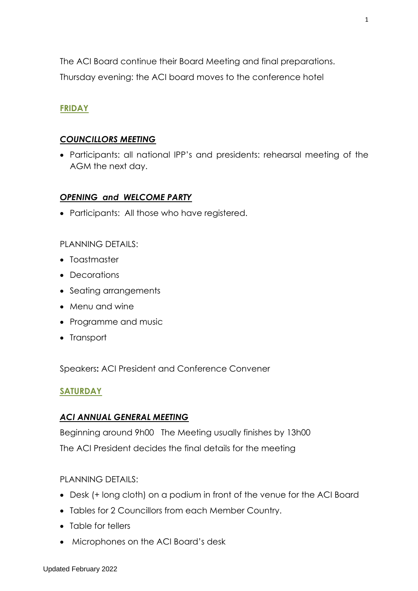The ACI Board continue their Board Meeting and final preparations.

Thursday evening: the ACI board moves to the conference hotel

# **FRIDAY**

# *COUNCILLORS MEETING*

• Participants: all national IPP's and presidents: rehearsal meeting of the AGM the next day.

# *OPENING and WELCOME PARTY*

• Participants: All those who have registered.

PLANNING DETAILS:

- Toastmaster
- Decorations
- Seating arrangements
- Menu and wine
- Programme and music
- Transport

Speakers**:** ACI President and Conference Convener

# **SATURDAY**

## *ACI ANNUAL GENERAL MEETING*

Beginning around 9h00 The Meeting usually finishes by 13h00 The ACI President decides the final details for the meeting

PLANNING DETAILS:

- Desk (+ long cloth) on a podium in front of the venue for the ACI Board
- Tables for 2 Councillors from each Member Country.
- Table for tellers
- Microphones on the ACI Board's desk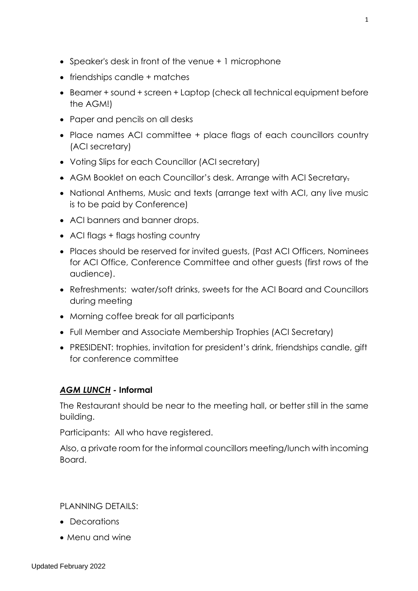- Speaker's desk in front of the venue + 1 microphone
- friendships candle + matches
- Beamer + sound + screen + Laptop (check all technical equipment before the AGM!)
- Paper and pencils on all desks
- Place names ACI committee + place flags of each councillors country (ACI secretary)
- Voting Slips for each Councillor (ACI secretary)
- AGM Booklet on each Councillor's desk. Arrange with ACI Secretary.
- National Anthems, Music and texts (arrange text with ACI, any live music is to be paid by Conference)
- ACI banners and banner drops.
- ACI flags + flags hosting country
- Places should be reserved for invited guests, (Past ACI Officers, Nominees for ACI Office, Conference Committee and other guests (first rows of the audience).
- Refreshments: water/soft drinks, sweets for the ACI Board and Councillors during meeting
- Morning coffee break for all participants
- Full Member and Associate Membership Trophies (ACI Secretary)
- PRESIDENT: trophies, invitation for president's drink, friendships candle, gift for conference committee

# *AGM LUNCH -* **Informal**

The Restaurant should be near to the meeting hall, or better still in the same building.

Participants: All who have registered.

Also, a private room for the informal councillors meeting/lunch with incoming Board.

PLANNING DETAILS:

- Decorations
- Menu and wine

1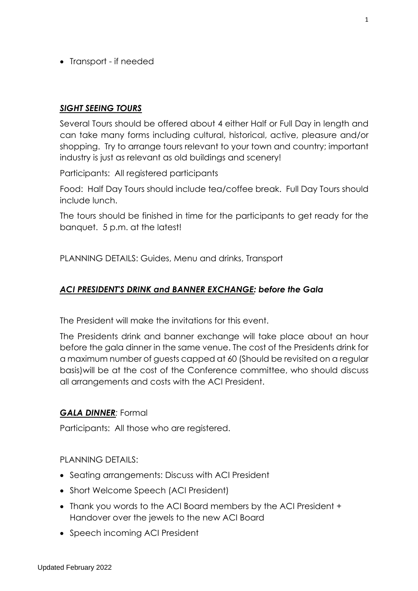• Transport - if needed

### *SIGHT SEEING TOURS*

Several Tours should be offered about 4 either Half or Full Day in length and can take many forms including cultural, historical, active, pleasure and/or shopping. Try to arrange tours relevant to your town and country; important industry is just as relevant as old buildings and scenery!

Participants: All registered participants

Food: Half Day Tours should include tea/coffee break. Full Day Tours should include lunch.

The tours should be finished in time for the participants to get ready for the banquet. 5 p.m. at the latest!

PLANNING DETAILS: Guides, Menu and drinks, Transport

### *ACI PRESIDENT'S DRINK and BANNER EXCHANGE: before the Gala*

The President will make the invitations for this event.

The Presidents drink and banner exchange will take place about an hour before the gala dinner in the same venue. The cost of the Presidents drink for a maximum number of guests capped at 60 (Should be revisited on a regular basis)will be at the cost of the Conference committee, who should discuss all arrangements and costs with the ACI President.

#### *GALA DINNER:* Formal

Participants: All those who are registered.

PLANNING DETAILS:

- Seating arrangements: Discuss with ACI President
- Short Welcome Speech (ACI President)
- Thank you words to the ACI Board members by the ACI President + Handover over the jewels to the new ACI Board
- Speech incoming ACI President